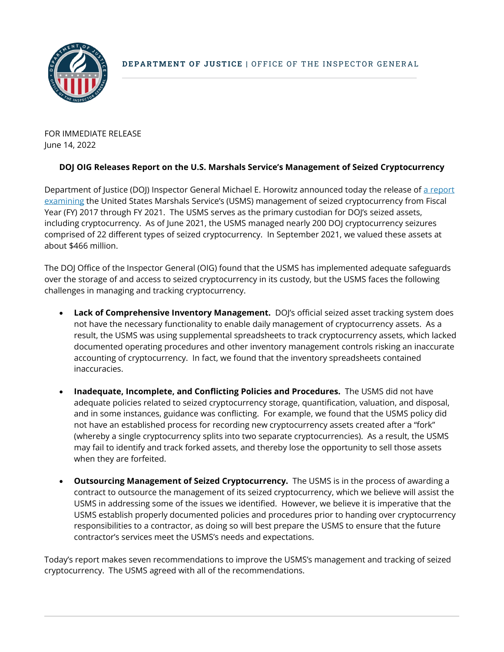

FOR IMMEDIATE RELEASE June 14, 2022

## **DOJ OIG Releases Report on the U.S. Marshals Service's Management of Seized Cryptocurrency**

Department of Justice (DOJ) Inspector General Michael E. Horowitz announced today the release of a report [examining](https://oig.justice.gov/reports/audit-united-states-marshals-services-management-seized-cryptocurrency) the United States Marshals Service's (USMS) management of seized cryptocurrency from Fiscal Year (FY) 2017 through FY 2021. The USMS serves as the primary custodian for DOJ's seized assets, including cryptocurrency. As of June 2021, the USMS managed nearly 200 DOJ cryptocurrency seizures comprised of 22 different types of seized cryptocurrency. In September 2021, we valued these assets at about \$466 million.

The DOJ Office of the Inspector General (OIG) found that the USMS has implemented adequate safeguards over the storage of and access to seized cryptocurrency in its custody, but the USMS faces the following challenges in managing and tracking cryptocurrency.

- **Lack of Comprehensive Inventory Management.** DOJ's official seized asset tracking system does not have the necessary functionality to enable daily management of cryptocurrency assets. As a result, the USMS was using supplemental spreadsheets to track cryptocurrency assets, which lacked documented operating procedures and other inventory management controls risking an inaccurate accounting of cryptocurrency. In fact, we found that the inventory spreadsheets contained inaccuracies.
- **Inadequate, Incomplete, and Conflicting Policies and Procedures.** The USMS did not have adequate policies related to seized cryptocurrency storage, quantification, valuation, and disposal, and in some instances, guidance was conflicting. For example, we found that the USMS policy did not have an established process for recording new cryptocurrency assets created after a "fork" (whereby a single cryptocurrency splits into two separate cryptocurrencies). As a result, the USMS may fail to identify and track forked assets, and thereby lose the opportunity to sell those assets when they are forfeited.
- **Outsourcing Management of Seized Cryptocurrency.** The USMS is in the process of awarding a contract to outsource the management of its seized cryptocurrency, which we believe will assist the USMS in addressing some of the issues we identified. However, we believe it is imperative that the USMS establish properly documented policies and procedures prior to handing over cryptocurrency responsibilities to a contractor, as doing so will best prepare the USMS to ensure that the future contractor's services meet the USMS's needs and expectations.

Today's report makes seven recommendations to improve the USMS's management and tracking of seized cryptocurrency. The USMS agreed with all of the recommendations.